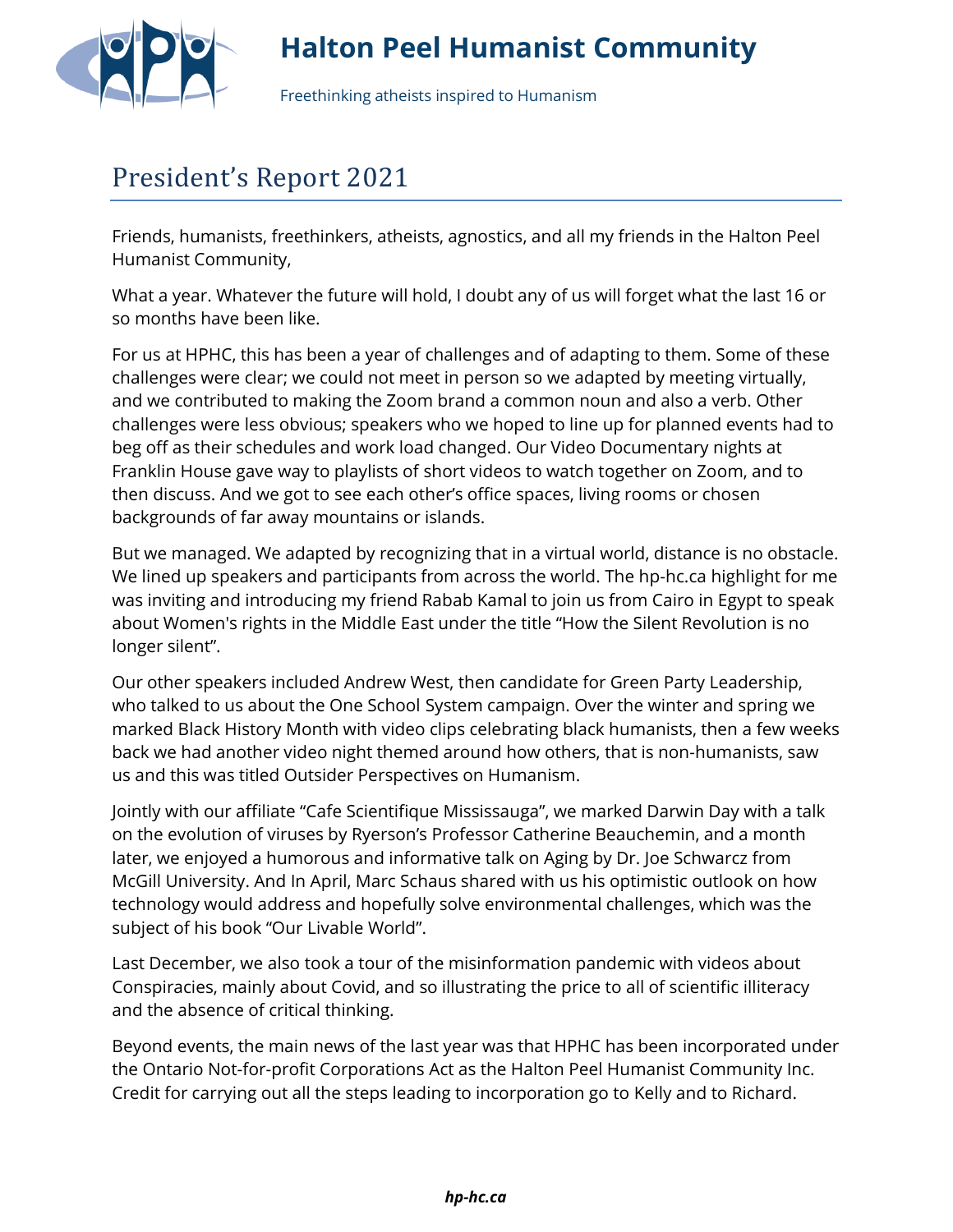

## **Halton Peel Humanist Community**

Freethinking atheists inspired to Humanism

## President's Report 2021

Friends, humanists, freethinkers, atheists, agnostics, and all my friends in the Halton Peel Humanist Community,

What a year. Whatever the future will hold, I doubt any of us will forget what the last 16 or so months have been like.

For us at HPHC, this has been a year of challenges and of adapting to them. Some of these challenges were clear; we could not meet in person so we adapted by meeting virtually, and we contributed to making the Zoom brand a common noun and also a verb. Other challenges were less obvious; speakers who we hoped to line up for planned events had to beg off as their schedules and work load changed. Our Video Documentary nights at Franklin House gave way to playlists of short videos to watch together on Zoom, and to then discuss. And we got to see each other's office spaces, living rooms or chosen backgrounds of far away mountains or islands.

But we managed. We adapted by recognizing that in a virtual world, distance is no obstacle. We lined up speakers and participants from across the world. The hp-hc.ca highlight for me was inviting and introducing my friend Rabab Kamal to join us from Cairo in Egypt to speak about Women's rights in the Middle East under the title "How the Silent Revolution is no longer silent".

Our other speakers included Andrew West, then candidate for Green Party Leadership, who talked to us about the One School System campaign. Over the winter and spring we marked Black History Month with video clips celebrating black humanists, then a few weeks back we had another video night themed around how others, that is non-humanists, saw us and this was titled Outsider Perspectives on Humanism.

Jointly with our affiliate "Cafe Scientifique Mississauga", we marked Darwin Day with a talk on the evolution of viruses by Ryerson's Professor Catherine Beauchemin, and a month later, we enjoyed a humorous and informative talk on Aging by Dr. Joe Schwarcz from McGill University. And In April, Marc Schaus shared with us his optimistic outlook on how technology would address and hopefully solve environmental challenges, which was the subject of his book "Our Livable World".

Last December, we also took a tour of the misinformation pandemic with videos about Conspiracies, mainly about Covid, and so illustrating the price to all of scientific illiteracy and the absence of critical thinking.

Beyond events, the main news of the last year was that HPHC has been incorporated under the Ontario Not-for-profit Corporations Act as the Halton Peel Humanist Community Inc. Credit for carrying out all the steps leading to incorporation go to Kelly and to Richard.